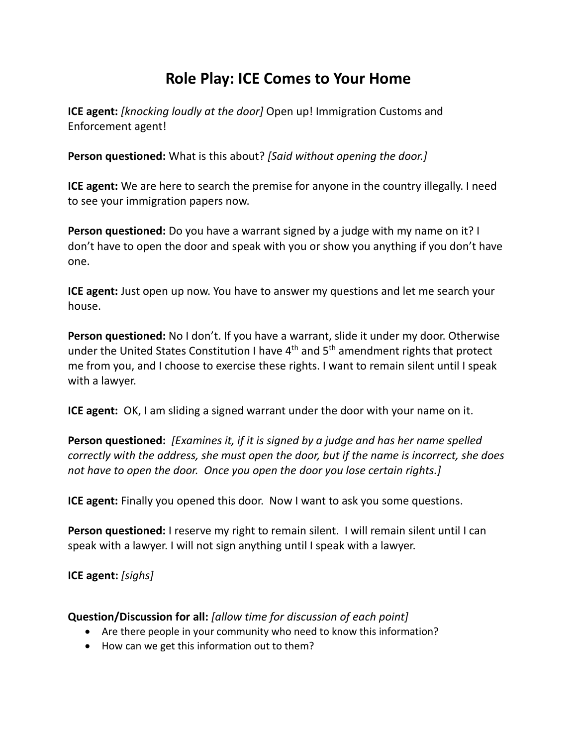## **Role Play: ICE Comes to Your Home**

**ICE agent:** *[knocking loudly at the door]* Open up! Immigration Customs and Enforcement agent!

**Person questioned:** What is this about? *[Said without opening the door.]*

**ICE agent:** We are here to search the premise for anyone in the country illegally. I need to see your immigration papers now.

**Person questioned:** Do you have a warrant signed by a judge with my name on it? I don't have to open the door and speak with you or show you anything if you don't have one.

**ICE agent:** Just open up now. You have to answer my questions and let me search your house.

**Person questioned:** No I don't. If you have a warrant, slide it under my door. Otherwise under the United States Constitution I have 4<sup>th</sup> and 5<sup>th</sup> amendment rights that protect me from you, and I choose to exercise these rights. I want to remain silent until I speak with a lawyer.

**ICE agent:** OK, I am sliding a signed warrant under the door with your name on it.

**Person questioned:** *[Examines it, if it is signed by a judge and has her name spelled correctly with the address, she must open the door, but if the name is incorrect, she does not have to open the door. Once you open the door you lose certain rights.]*

**ICE agent:** Finally you opened this door. Now I want to ask you some questions.

**Person questioned:** I reserve my right to remain silent. I will remain silent until I can speak with a lawyer. I will not sign anything until I speak with a lawyer.

**ICE agent:** *[sighs]*

## **Question/Discussion for all:** *[allow time for discussion of each point]*

- Are there people in your community who need to know this information?
- How can we get this information out to them?